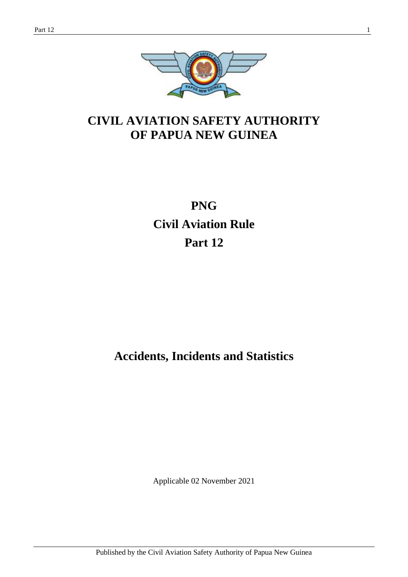

## **CIVIL AVIATION SAFETY AUTHORITY OF PAPUA NEW GUINEA**

# **PNG Civil Aviation Rule Part 12**

## **Accidents, Incidents and Statistics**

Applicable 02 November 2021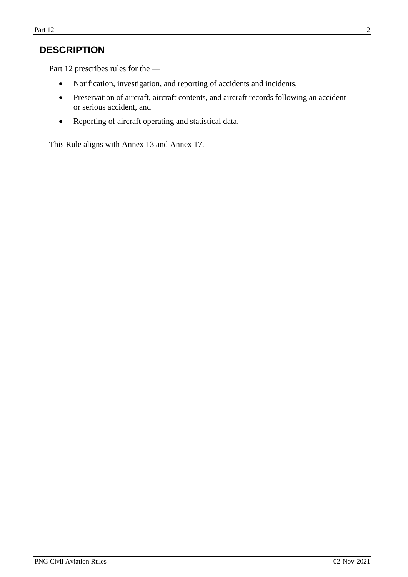## **DESCRIPTION**

Part 12 prescribes rules for the —

- Notification, investigation, and reporting of accidents and incidents,
- Preservation of aircraft, aircraft contents, and aircraft records following an accident or serious accident, and
- Reporting of aircraft operating and statistical data.

This Rule aligns with Annex 13 and Annex 17.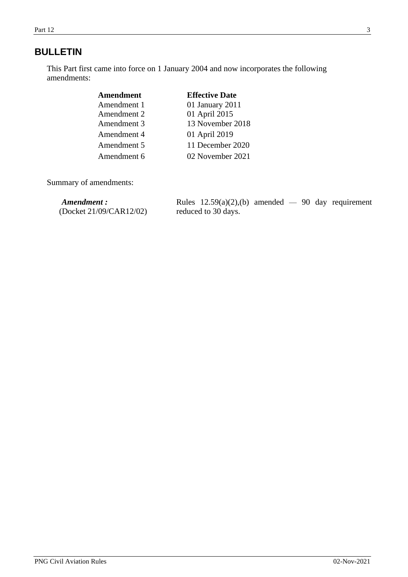## **BULLETIN**

This Part first came into force on 1 January 2004 and now incorporates the following amendments:

| Amendment   | <b>Effective Date</b> |
|-------------|-----------------------|
| Amendment 1 | 01 January 2011       |
| Amendment 2 | 01 April 2015         |
| Amendment 3 | 13 November 2018      |
| Amendment 4 | 01 April 2019         |
| Amendment 5 | 11 December 2020      |
| Amendment 6 | 02 November 2021      |

Summary of amendments:

| Amendment :             | Rules $12.59(a)(2)$ , (b) amended $-90$ day requirement |
|-------------------------|---------------------------------------------------------|
| (Docket 21/09/CAR12/02) | reduced to 30 days.                                     |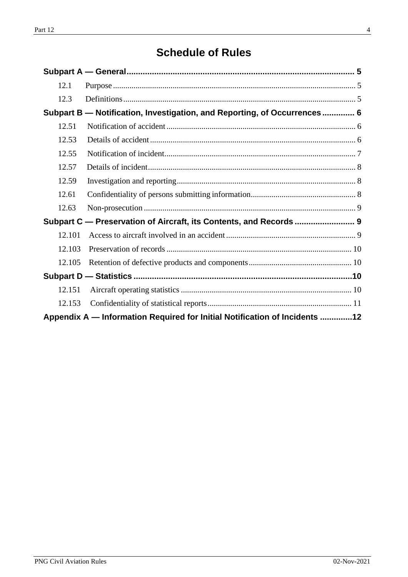## **Schedule of Rules**

<span id="page-3-0"></span>

| 12.1   |                                                                            |  |
|--------|----------------------------------------------------------------------------|--|
| 12.3   |                                                                            |  |
|        | Subpart B - Notification, Investigation, and Reporting, of Occurrences 6   |  |
| 12.51  |                                                                            |  |
| 12.53  |                                                                            |  |
| 12.55  |                                                                            |  |
| 12.57  |                                                                            |  |
| 12.59  |                                                                            |  |
| 12.61  |                                                                            |  |
| 12.63  |                                                                            |  |
|        |                                                                            |  |
| 12.101 |                                                                            |  |
| 12.103 |                                                                            |  |
| 12.105 |                                                                            |  |
|        |                                                                            |  |
| 12.151 |                                                                            |  |
| 12.153 |                                                                            |  |
|        | Appendix A — Information Required for Initial Notification of Incidents 12 |  |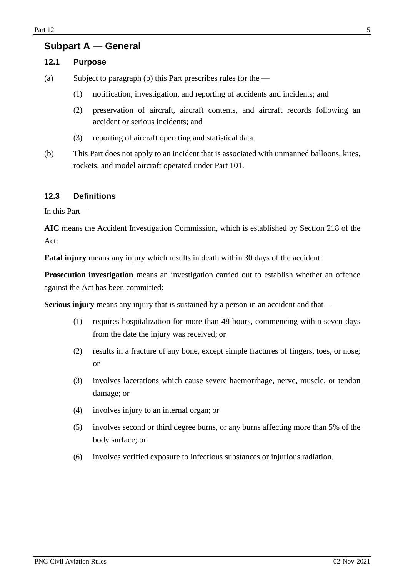### **Subpart A — General**

#### <span id="page-4-0"></span>**12.1 Purpose**

(a) Subject to paragraph (b) this Part prescribes rules for the —

- (1) notification, investigation, and reporting of accidents and incidents; and
- (2) preservation of aircraft, aircraft contents, and aircraft records following an accident or serious incidents; and
- (3) reporting of aircraft operating and statistical data.
- (b) This Part does not apply to an incident that is associated with unmanned balloons, kites, rockets, and model aircraft operated under Part 101.

#### <span id="page-4-1"></span>**12.3 Definitions**

In this Part—

**AIC** means the Accident Investigation Commission, which is established by Section 218 of the Act:

**Fatal injury** means any injury which results in death within 30 days of the accident:

**Prosecution investigation** means an investigation carried out to establish whether an offence against the Act has been committed:

**Serious injury** means any injury that is sustained by a person in an accident and that—

- (1) requires hospitalization for more than 48 hours, commencing within seven days from the date the injury was received; or
- (2) results in a fracture of any bone, except simple fractures of fingers, toes, or nose; or
- (3) involves lacerations which cause severe haemorrhage, nerve, muscle, or tendon damage; or
- (4) involves injury to an internal organ; or
- (5) involves second or third degree burns, or any burns affecting more than 5% of the body surface; or
- <span id="page-4-2"></span>(6) involves verified exposure to infectious substances or injurious radiation.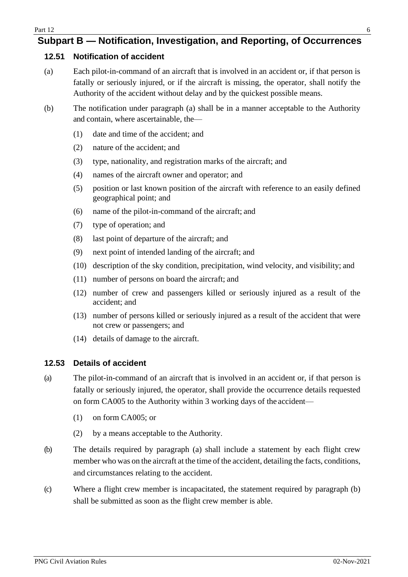## **Subpart B — Notification, Investigation, and Reporting, of Occurrences**

#### <span id="page-5-0"></span>**12.51 Notification of accident**

- (a) Each pilot-in-command of an aircraft that is involved in an accident or, if that person is fatally or seriously injured, or if the aircraft is missing, the operator, shall notify the Authority of the accident without delay and by the quickest possible means.
- (b) The notification under paragraph (a) shall be in a manner acceptable to the Authority and contain, where ascertainable, the—
	- (1) date and time of the accident; and
	- (2) nature of the accident; and
	- (3) type, nationality, and registration marks of the aircraft; and
	- (4) names of the aircraft owner and operator; and
	- (5) position or last known position of the aircraft with reference to an easily defined geographical point; and
	- (6) name of the pilot-in-command of the aircraft; and
	- (7) type of operation; and
	- (8) last point of departure of the aircraft; and
	- (9) next point of intended landing of the aircraft; and
	- (10) description of the sky condition, precipitation, wind velocity, and visibility; and
	- (11) number of persons on board the aircraft; and
	- (12) number of crew and passengers killed or seriously injured as a result of the accident; and
	- (13) number of persons killed or seriously injured as a result of the accident that were not crew or passengers; and
	- (14) details of damage to the aircraft.

#### <span id="page-5-1"></span>**12.53 Details of accident**

- (a) The pilot-in-command of an aircraft that is involved in an accident or, if that person is fatally or seriously injured, the operator, shall provide the occurrence details requested on form CA005 to the Authority within 3 working days of the accident—
	- (1) on form CA005; or
	- (2) by a means acceptable to the Authority.
- (b) The details required by paragraph (a) shall include a statement by each flight crew member who was on the aircraft at the time of the accident, detailing the facts, conditions, and circumstances relating to the accident.
- <span id="page-5-2"></span>(c) Where a flight crew member is incapacitated, the statement required by paragraph (b) shall be submitted as soon as the flight crew member is able.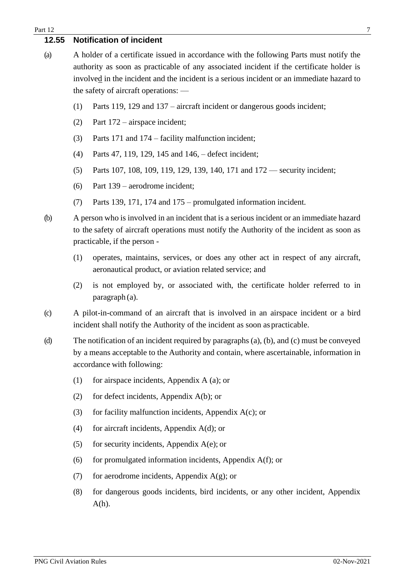#### **12.55 Notification of incident**

- (a) A holder of a certificate issued in accordance with the following Parts must notify the authority as soon as practicable of any associated incident if the certificate holder is involved in the incident and the incident is a serious incident or an immediate hazard to the safety of aircraft operations: —
	- (1) Parts 119, 129 and 137 aircraft incident or dangerous goods incident;
	- (2) Part 172 airspace incident;
	- (3) Parts 171 and 174 facility malfunction incident;
	- (4) Parts 47, 119, 129, 145 and 146, defect incident;
	- (5) Parts 107, 108, 109, 119, 129, 139, 140, 171 and 172 security incident;
	- (6) Part 139 aerodrome incident;
	- (7) Parts 139, 171, 174 and 175 promulgated information incident.
- (b) A person who is involved in an incident that is a serious incident or an immediate hazard to the safety of aircraft operations must notify the Authority of the incident as soon as practicable, if the person -
	- (1) operates, maintains, services, or does any other act in respect of any aircraft, aeronautical product, or aviation related service; and
	- (2) is not employed by, or associated with, the certificate holder referred to in paragraph (a).
- (c) A pilot-in-command of an aircraft that is involved in an airspace incident or a bird incident shall notify the Authority of the incident as soon as practicable.
- (d) The notification of an incident required by paragraphs (a), (b), and (c) must be conveyed by a means acceptable to the Authority and contain, where ascertainable, information in accordance with following:
	- (1) for airspace incidents, Appendix A (a); or
	- (2) for defect incidents, Appendix A(b); or
	- (3) for facility malfunction incidents, Appendix  $A(c)$ ; or
	- (4) for aircraft incidents, Appendix  $A(d)$ ; or
	- (5) for security incidents, Appendix  $A(e)$ ; or
	- (6) for promulgated information incidents, Appendix  $A(f)$ ; or
	- (7) for aerodrome incidents, Appendix  $A(g)$ ; or
	- (8) for dangerous goods incidents, bird incidents, or any other incident, Appendix  $A(h)$ .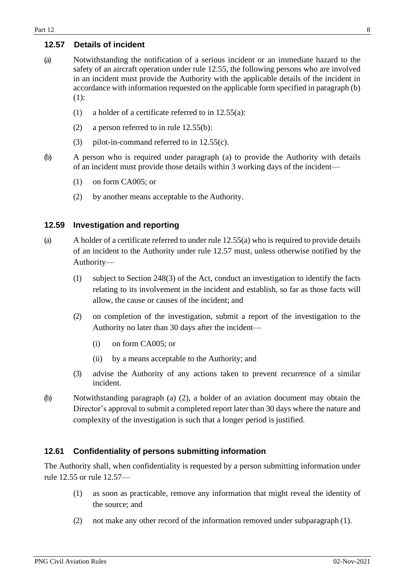#### <span id="page-7-0"></span>**12.57 Details of incident**

- (a) Notwithstanding the notification of a serious incident or an immediate hazard to the safety of an aircraft operation under rule 12.55, the following persons who are involved in an incident must provide the Authority with the applicable details of the incident in accordance with information requested on the applicable form specified in paragraph (b) (1):
	- (1) a holder of a certificate referred to in 12.55(a):
	- (2) a person referred to in rule 12.55(b):
	- (3) pilot-in-command referred to in 12.55(c).
- (b) A person who is required under paragraph (a) to provide the Authority with details of an incident must provide those details within 3 working days of the incident—
	- (1) on form CA005; or
	- (2) by another means acceptable to the Authority.

#### <span id="page-7-1"></span>**12.59 Investigation and reporting**

- (a) A holder of a certificate referred to under rule 12.55(a) who is required to provide details of an incident to the Authority under rule 12.57 must, unless otherwise notified by the Authority—
	- (1) subject to Section 248(3) of the Act, conduct an investigation to identify the facts relating to its involvement in the incident and establish, so far as those facts will allow, the cause or causes of the incident; and
	- (2) on completion of the investigation, submit a report of the investigation to the Authority no later than 30 days after the incident—
		- (i) on form CA005; or
		- (ii) by a means acceptable to the Authority; and
	- (3) advise the Authority of any actions taken to prevent recurrence of a similar incident.
- (b) Notwithstanding paragraph (a) (2), a holder of an aviation document may obtain the Director's approval to submit a completed report later than 30 days where the nature and complexity of the investigation is such that a longer period is justified.

#### <span id="page-7-2"></span>**12.61 Confidentiality of persons submitting information**

The Authority shall, when confidentiality is requested by a person submitting information under rule 12.55 or rule 12.57—

- (1) as soon as practicable, remove any information that might reveal the identity of the source; and
- (2) not make any other record of the information removed under subparagraph (1).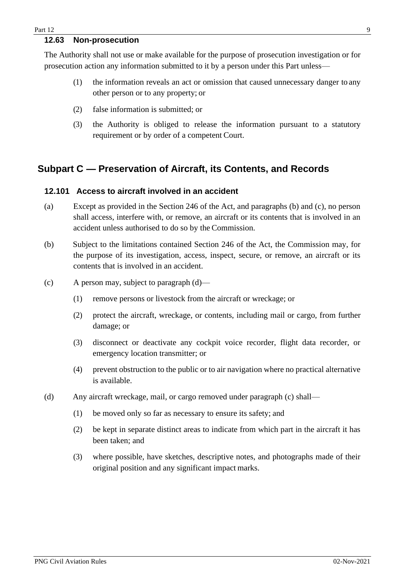#### <span id="page-8-0"></span>**12.63 Non-prosecution**

The Authority shall not use or make available for the purpose of prosecution investigation or for prosecution action any information submitted to it by a person under this Part unless—

- (1) the information reveals an act or omission that caused unnecessary danger to any other person or to any property; or
- (2) false information is submitted; or
- (3) the Authority is obliged to release the information pursuant to a statutory requirement or by order of a competent Court.

## <span id="page-8-1"></span>**Subpart C — Preservation of Aircraft, its Contents, and Records**

#### <span id="page-8-2"></span>**12.101 Access to aircraft involved in an accident**

- (a) Except as provided in the Section 246 of the Act, and paragraphs (b) and (c), no person shall access, interfere with, or remove, an aircraft or its contents that is involved in an accident unless authorised to do so by the Commission.
- (b) Subject to the limitations contained Section 246 of the Act, the Commission may, for the purpose of its investigation, access, inspect, secure, or remove, an aircraft or its contents that is involved in an accident.
- (c) A person may, subject to paragraph (d)—
	- (1) remove persons or livestock from the aircraft or wreckage; or
	- (2) protect the aircraft, wreckage, or contents, including mail or cargo, from further damage; or
	- (3) disconnect or deactivate any cockpit voice recorder, flight data recorder, or emergency location transmitter; or
	- (4) prevent obstruction to the public or to air navigation where no practical alternative is available.
- (d) Any aircraft wreckage, mail, or cargo removed under paragraph (c) shall—
	- (1) be moved only so far as necessary to ensure its safety; and
	- (2) be kept in separate distinct areas to indicate from which part in the aircraft it has been taken; and
	- (3) where possible, have sketches, descriptive notes, and photographs made of their original position and any significant impact marks.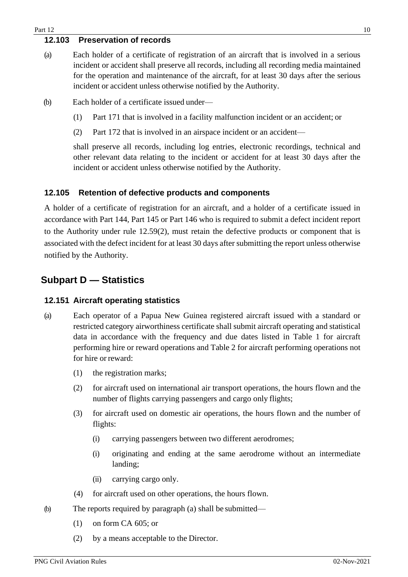#### <span id="page-9-0"></span>**12.103 Preservation of records**

- (a) Each holder of a certificate of registration of an aircraft that is involved in a serious incident or accident shall preserve all records, including all recording media maintained for the operation and maintenance of the aircraft, for at least 30 days after the serious incident or accident unless otherwise notified by the Authority.
- (b) Each holder of a certificate issued under—
	- (1) Part 171 that is involved in a facility malfunction incident or an accident; or
	- (2) Part 172 that is involved in an airspace incident or an accident—

shall preserve all records, including log entries, electronic recordings, technical and other relevant data relating to the incident or accident for at least 30 days after the incident or accident unless otherwise notified by the Authority.

#### <span id="page-9-1"></span>**12.105 Retention of defective products and components**

A holder of a certificate of registration for an aircraft, and a holder of a certificate issued in accordance with Part 144, Part 145 or Part 146 who is required to submit a defect incident report to the Authority under rule 12.59(2), must retain the defective products or component that is associated with the defect incident for at least 30 days after submitting the report unless otherwise notified by the Authority.

## <span id="page-9-2"></span>**Subpart D — Statistics**

#### <span id="page-9-3"></span>**12.151 Aircraft operating statistics**

- (a) Each operator of a Papua New Guinea registered aircraft issued with a standard or restricted category airworthiness certificate shall submit aircraft operating and statistical data in accordance with the frequency and due dates listed in Table 1 for aircraft performing hire or reward operations and Table 2 for aircraft performing operations not for hire or reward:
	- (1) the registration marks;
	- (2) for aircraft used on international air transport operations, the hours flown and the number of flights carrying passengers and cargo only flights;
	- (3) for aircraft used on domestic air operations, the hours flown and the number of flights:
		- (i) carrying passengers between two different aerodromes;
		- (i) originating and ending at the same aerodrome without an intermediate landing;
		- (ii) carrying cargo only.
	- (4) for aircraft used on other operations, the hours flown.
- (b) The reports required by paragraph (a) shall be submitted—
	- (1) on form CA 605; or
	- (2) by a means acceptable to the Director.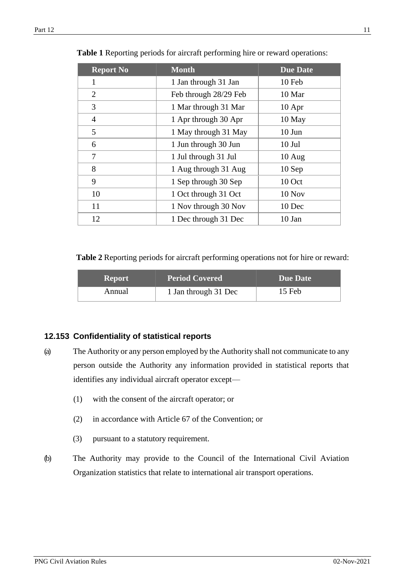| <b>Report No</b> | <b>Month</b>          | <b>Due Date</b> |
|------------------|-----------------------|-----------------|
| 1                | 1 Jan through 31 Jan  | 10 Feb          |
| 2                | Feb through 28/29 Feb | 10 Mar          |
| 3                | 1 Mar through 31 Mar  | $10$ Apr        |
| $\overline{4}$   | 1 Apr through 30 Apr  | 10 May          |
| 5                | 1 May through 31 May  | $10$ Jun        |
| 6                | 1 Jun through 30 Jun  | $10$ Jul        |
| 7                | 1 Jul through 31 Jul  | $10$ Aug        |
| 8                | 1 Aug through 31 Aug  | $10$ Sep        |
| 9                | 1 Sep through 30 Sep  | 10 Oct          |
| 10               | 1 Oct through 31 Oct  | 10 Nov          |
| 11               | 1 Nov through 30 Nov  | 10 Dec          |
| 12               | 1 Dec through 31 Dec  | $10$ Jan        |

|  |  | Table 1 Reporting periods for aircraft performing hire or reward operations: |  |
|--|--|------------------------------------------------------------------------------|--|
|  |  |                                                                              |  |

**Table 2** Reporting periods for aircraft performing operations not for hire or reward:

| /Report | <b>Period Covered</b> | Due Date |
|---------|-----------------------|----------|
| Annual  | 1 Jan through 31 Dec  | 15 Feb   |

#### <span id="page-10-0"></span>**12.153 Confidentiality of statistical reports**

- (a) The Authority or any person employed by the Authority shall not communicate to any person outside the Authority any information provided in statistical reports that identifies any individual aircraft operator except—
	- (1) with the consent of the aircraft operator; or
	- (2) in accordance with Article 67 of the Convention; or
	- (3) pursuant to a statutory requirement.
- (b) The Authority may provide to the Council of the International Civil Aviation Organization statistics that relate to international air transport operations.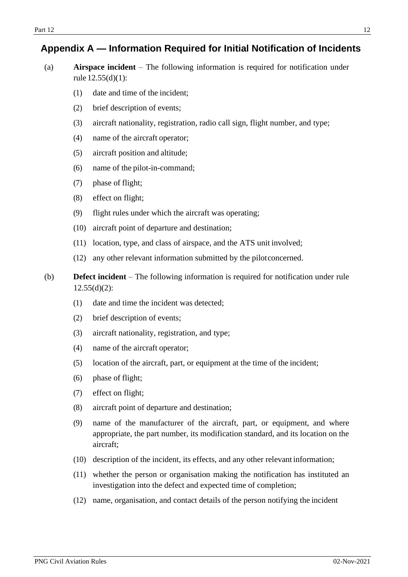## <span id="page-11-0"></span>**Appendix A — Information Required for Initial Notification of Incidents**

- (a) **Airspace incident**  The following information is required for notification under rule 12.55(d)(1):
	- (1) date and time of the incident;
	- (2) brief description of events;
	- (3) aircraft nationality, registration, radio call sign, flight number, and type;
	- (4) name of the aircraft operator;
	- (5) aircraft position and altitude;
	- (6) name of the pilot-in-command;
	- (7) phase of flight;
	- (8) effect on flight;
	- (9) flight rules under which the aircraft was operating;
	- (10) aircraft point of departure and destination;
	- (11) location, type, and class of airspace, and the ATS unit involved;
	- (12) any other relevant information submitted by the pilotconcerned.
- (b) **Defect incident**  The following information is required for notification under rule  $12.55(d)(2)$ :
	- (1) date and time the incident was detected;
	- (2) brief description of events;
	- (3) aircraft nationality, registration, and type;
	- (4) name of the aircraft operator;
	- (5) location of the aircraft, part, or equipment at the time of the incident;
	- (6) phase of flight;
	- (7) effect on flight;
	- (8) aircraft point of departure and destination;
	- (9) name of the manufacturer of the aircraft, part, or equipment, and where appropriate, the part number, its modification standard, and its location on the aircraft;
	- (10) description of the incident, its effects, and any other relevant information;
	- (11) whether the person or organisation making the notification has instituted an investigation into the defect and expected time of completion;
	- (12) name, organisation, and contact details of the person notifying the incident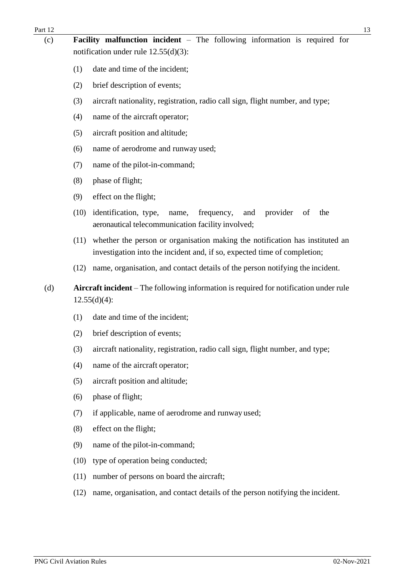| Part 12 |      | 13                                                                                                                                                       |  |  |  |
|---------|------|----------------------------------------------------------------------------------------------------------------------------------------------------------|--|--|--|
| (c)     |      | <b>Facility malfunction incident</b> $-$ The following information is required for<br>notification under rule $12.55(d)(3)$ :                            |  |  |  |
|         | (1)  | date and time of the incident;                                                                                                                           |  |  |  |
|         | (2)  | brief description of events;                                                                                                                             |  |  |  |
|         | (3)  | aircraft nationality, registration, radio call sign, flight number, and type;                                                                            |  |  |  |
|         | (4)  | name of the aircraft operator;                                                                                                                           |  |  |  |
|         | (5)  | aircraft position and altitude;                                                                                                                          |  |  |  |
|         | (6)  | name of aerodrome and runway used;                                                                                                                       |  |  |  |
|         | (7)  | name of the pilot-in-command;                                                                                                                            |  |  |  |
|         | (8)  | phase of flight;                                                                                                                                         |  |  |  |
|         | (9)  | effect on the flight;                                                                                                                                    |  |  |  |
|         | (10) | identification, type,<br>provider<br>the<br>frequency,<br>and<br>of<br>name,<br>aeronautical telecommunication facility involved;                        |  |  |  |
|         | (11) | whether the person or organisation making the notification has instituted an<br>investigation into the incident and, if so, expected time of completion; |  |  |  |
|         | (12) | name, organisation, and contact details of the person notifying the incident.                                                                            |  |  |  |
| (d)     |      | Aircraft incident – The following information is required for notification under rule<br>$12.55(d)(4)$ :                                                 |  |  |  |
|         | (1)  | date and time of the incident;                                                                                                                           |  |  |  |
|         | (2)  | brief description of events;                                                                                                                             |  |  |  |
|         | (3)  | aircraft nationality, registration, radio call sign, flight number, and type;                                                                            |  |  |  |
|         | (4)  | name of the aircraft operator;                                                                                                                           |  |  |  |
|         | (5)  | aircraft position and altitude;                                                                                                                          |  |  |  |
|         | (6)  | phase of flight;                                                                                                                                         |  |  |  |
|         | (7)  | if applicable, name of aerodrome and runway used;                                                                                                        |  |  |  |
|         | (8)  | effect on the flight;                                                                                                                                    |  |  |  |
|         | (9)  | name of the pilot-in-command;                                                                                                                            |  |  |  |
|         | (10) | type of operation being conducted;                                                                                                                       |  |  |  |
|         | (11) | number of persons on board the aircraft;                                                                                                                 |  |  |  |
|         | (12) | name, organisation, and contact details of the person notifying the incident.                                                                            |  |  |  |
|         |      |                                                                                                                                                          |  |  |  |